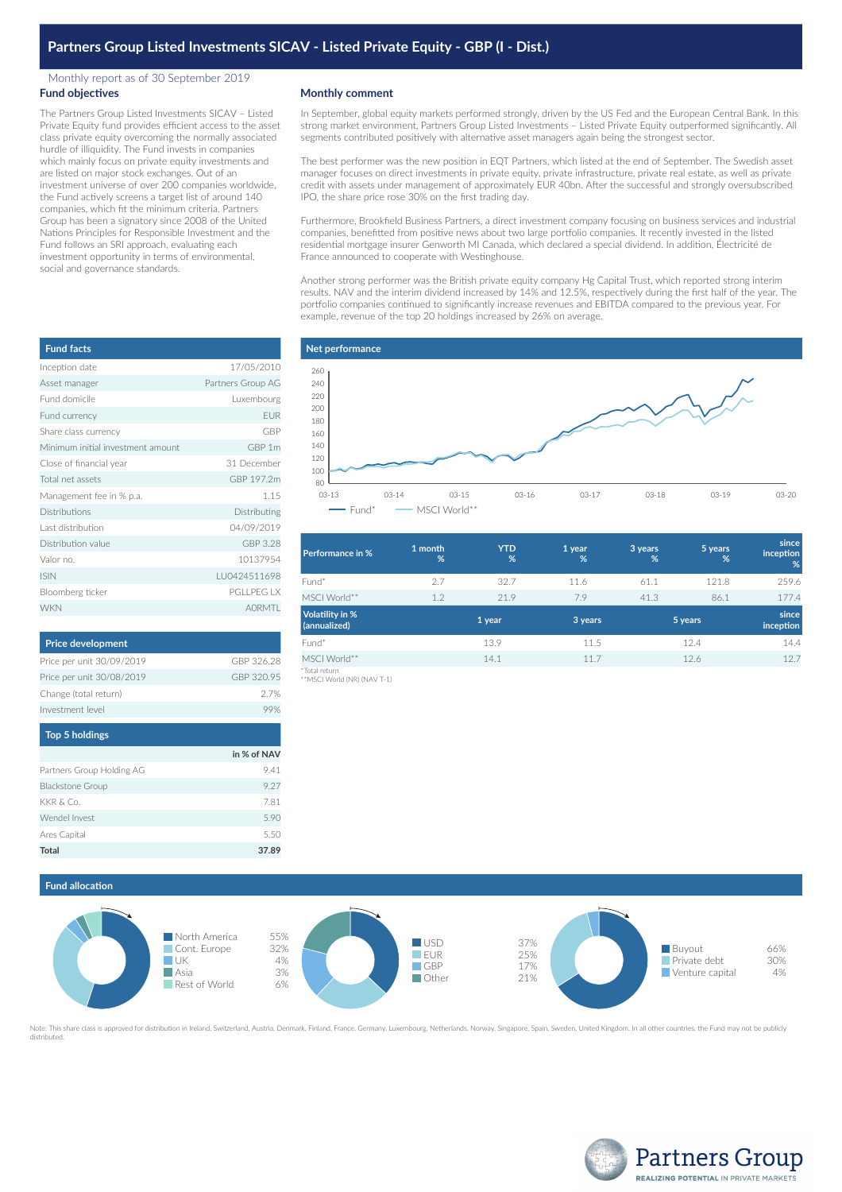### Monthly report as of 30 September 2019 **Fund objectives**

The Partners Group Listed Investments SICAV – Listed Private Equity fund provides efficient access to the asset class private equity overcoming the normally associated hurdle of illiquidity. The Fund invests in companies which mainly focus on private equity investments and are listed on major stock exchanges. Out of an investment universe of over 200 companies worldwide, the Fund actively screens a target list of around 140 companies, which fit the minimum criteria. Partners Group has been a signatory since 2008 of the United Nations Principles for Responsible Investment and the Fund follows an SRI approach, evaluating each investment opportunity in terms of environmental, social and governance standards.

## **Monthly comment**

In September, global equity markets performed strongly, driven by the US Fed and the European Central Bank. In this strong market environment, Partners Group Listed Investments – Listed Private Equity outperformed significantly. All segments contributed positively with alternative asset managers again being the strongest sector.

The best performer was the new position in EQT Partners, which listed at the end of September. The Swedish asset manager focuses on direct investments in private equity, private infrastructure, private real estate, as well as private credit with assets under management of approximately EUR 40bn. After the successful and strongly oversubscribed IPO, the share price rose 30% on the first trading day.

Furthermore, Brookfield Business Partners, a direct investment company focusing on business services and industrial companies, benefitted from positive news about two large portfolio companies. It recently invested in the listed residential mortgage insurer Genworth MI Canada, which declared a special dividend. In addition, Électricité de France announced to cooperate with Westinghouse.

Another strong performer was the British private equity company Hg Capital Trust, which reported strong interim results. NAV and the interim dividend increased by 14% and 12.5%, respectively during the first half of the year. The portfolio companies continued to significantly increase revenues and EBITDA compared to the previous year. For example, revenue of the top 20 holdings increased by 26% on average.

| <b>Fund facts</b>                 |                   |  |  |
|-----------------------------------|-------------------|--|--|
| Inception date                    | 17/05/2010        |  |  |
| Asset manager                     | Partners Group AG |  |  |
| Fund domicile                     | Luxembourg        |  |  |
| Fund currency<br><b>EUR</b>       |                   |  |  |
| Share class currency              | GBP               |  |  |
| Minimum initial investment amount | GBP 1m            |  |  |
| Close of financial year           | 31 December       |  |  |
| Total net assets                  | GBP 197.2m        |  |  |
| Management fee in % p.a.          | 1.15              |  |  |
| <b>Distributions</b>              | Distributing      |  |  |
| Last distribution                 | 04/09/2019        |  |  |
| Distribution value                | GBP 3.28          |  |  |
| Valor no                          | 10137954          |  |  |
| <b>ISIN</b>                       | LU0424511698      |  |  |
| Bloomberg ticker                  | <b>PGLLPEG LX</b> |  |  |
| <b>WKN</b>                        | <b>AORMT</b>      |  |  |

| <b>Price development</b>  |            |
|---------------------------|------------|
| Price per unit 30/09/2019 | GBP 326.28 |
| Price per unit 30/08/2019 | GBP 320.95 |
| Change (total return)     | 27%        |
| Investment level          |            |
| Take E. Kalukaan          |            |

| iop o norungs             |             |
|---------------------------|-------------|
|                           | in % of NAV |
| Partners Group Holding AG | 9.41        |
| <b>Blackstone Group</b>   | 9.27        |
| KKR & Co.                 | 7.81        |
| Wendel Invest             | 5.90        |
| Ares Capital              | 5.50        |
| Total                     | 37.89       |



| Performance in %                              | 1 month<br>% | <b>YTD</b><br>% | 1 year<br>% | 3 years<br>% | 5 years<br>% | since<br>inception<br>% |
|-----------------------------------------------|--------------|-----------------|-------------|--------------|--------------|-------------------------|
| Fund*                                         | 2.7          | 32.7            | 11.6        | 61.1         | 121.8        | 259.6                   |
| MSCI World**                                  | 1.2          | 21.9            | 7.9         | 41.3         | 86.1         | 177.4                   |
| <b>Volatility in %</b><br>(annualized)        |              | 1 year          | 3 years     | 5 years      |              | since<br>inception      |
| Fund*                                         |              | 13.9            | 11.5        |              | 12.4         | 14.4                    |
| MSCI World**<br>when the contract of the con- |              | 14.1            | 11.7        |              | 12.6         | 12.7                    |

\*Total return \*\*MSCI World (NR) (NAV T-1)

# **Fund allocation**



Note: This share class is approved for distribution in Ireland, Switzerland, Austria, Denmark, Finland, France, Germany, Luxembourg, Netherlands, Norway, Singapore, Spain, Sweden, United Kingdom. In all other countries, th distributed.